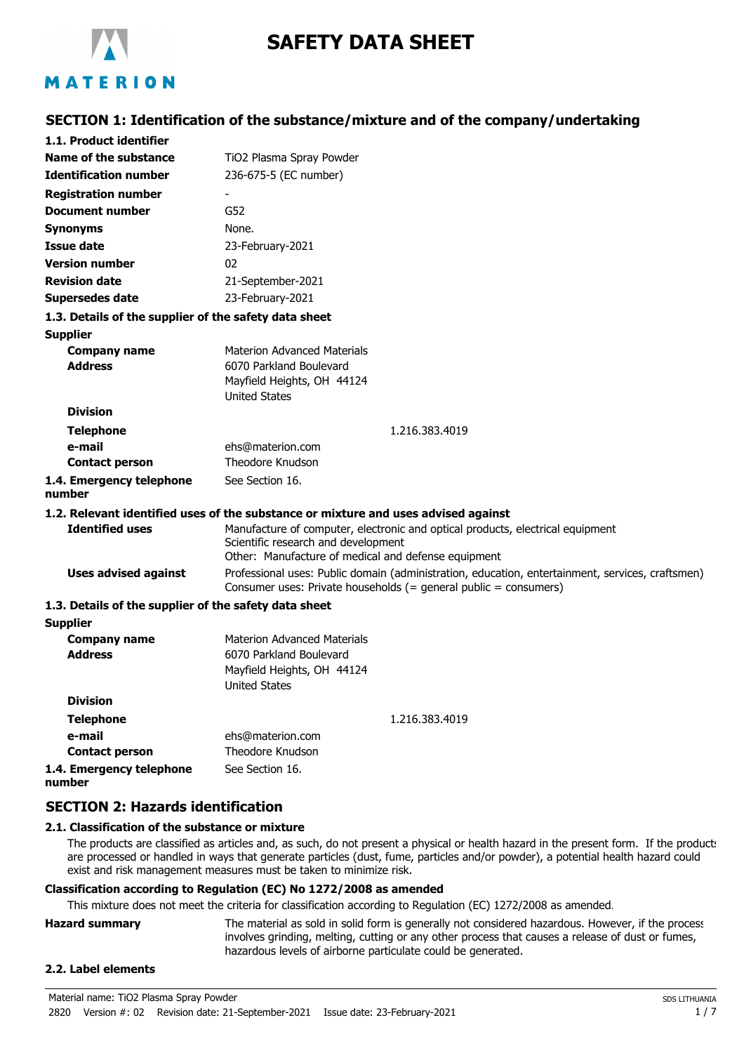

# **SAFETY DATA SHEET**

# **SECTION 1: Identification of the substance/mixture and of the company/undertaking**

| 1.1. Product identifier                               |                                                                                                                                                                              |  |
|-------------------------------------------------------|------------------------------------------------------------------------------------------------------------------------------------------------------------------------------|--|
| Name of the substance                                 | TiO2 Plasma Spray Powder                                                                                                                                                     |  |
| <b>Identification number</b>                          | 236-675-5 (EC number)                                                                                                                                                        |  |
| <b>Registration number</b>                            |                                                                                                                                                                              |  |
| <b>Document number</b>                                | G52                                                                                                                                                                          |  |
| <b>Synonyms</b>                                       | None.                                                                                                                                                                        |  |
| <b>Issue date</b>                                     | 23-February-2021                                                                                                                                                             |  |
| <b>Version number</b>                                 | 02                                                                                                                                                                           |  |
| <b>Revision date</b>                                  | 21-September-2021                                                                                                                                                            |  |
| Supersedes date                                       | 23-February-2021                                                                                                                                                             |  |
| 1.3. Details of the supplier of the safety data sheet |                                                                                                                                                                              |  |
| <b>Supplier</b>                                       |                                                                                                                                                                              |  |
| <b>Company name</b>                                   | <b>Materion Advanced Materials</b>                                                                                                                                           |  |
| <b>Address</b>                                        | 6070 Parkland Boulevard<br>Mayfield Heights, OH 44124                                                                                                                        |  |
|                                                       | <b>United States</b>                                                                                                                                                         |  |
| <b>Division</b>                                       |                                                                                                                                                                              |  |
| <b>Telephone</b>                                      | 1.216.383.4019                                                                                                                                                               |  |
| e-mail                                                | ehs@materion.com                                                                                                                                                             |  |
| <b>Contact person</b>                                 | Theodore Knudson                                                                                                                                                             |  |
| 1.4. Emergency telephone<br>number                    | See Section 16.                                                                                                                                                              |  |
|                                                       | 1.2. Relevant identified uses of the substance or mixture and uses advised against                                                                                           |  |
| <b>Identified uses</b>                                | Manufacture of computer, electronic and optical products, electrical equipment<br>Scientific research and development<br>Other: Manufacture of medical and defense equipment |  |
| <b>Uses advised against</b>                           | Professional uses: Public domain (administration, education, entertainment, services, craftsmen)<br>Consumer uses: Private households (= general public = consumers)         |  |
| 1.3. Details of the supplier of the safety data sheet |                                                                                                                                                                              |  |
| <b>Supplier</b>                                       |                                                                                                                                                                              |  |
| Company name                                          | <b>Materion Advanced Materials</b>                                                                                                                                           |  |
| <b>Address</b>                                        | 6070 Parkland Boulevard<br>Mayfield Heights, OH 44124<br><b>United States</b>                                                                                                |  |
| <b>Division</b>                                       |                                                                                                                                                                              |  |
| <b>Telephone</b>                                      | 1.216.383.4019                                                                                                                                                               |  |
| e-mail                                                | ehs@materion.com                                                                                                                                                             |  |
| <b>Contact person</b>                                 | Theodore Knudson                                                                                                                                                             |  |
| 1.4. Emergency telephone                              | See Section 16.                                                                                                                                                              |  |

# **number**

### **SECTION 2: Hazards identification**

#### **2.1. Classification of the substance or mixture**

The products are classified as articles and, as such, do not present a physical or health hazard in the present form. If the products are processed or handled in ways that generate particles (dust, fume, particles and/or powder), a potential health hazard could exist and risk management measures must be taken to minimize risk.

#### **Classification according to Regulation (EC) No 1272/2008 as amended**

This mixture does not meet the criteria for classification according to Regulation (EC) 1272/2008 as amended.

**Hazard summary** The material as sold in solid form is generally not considered hazardous. However, if the process involves grinding, melting, cutting or any other process that causes a release of dust or fumes, hazardous levels of airborne particulate could be generated.

### **2.2. Label elements**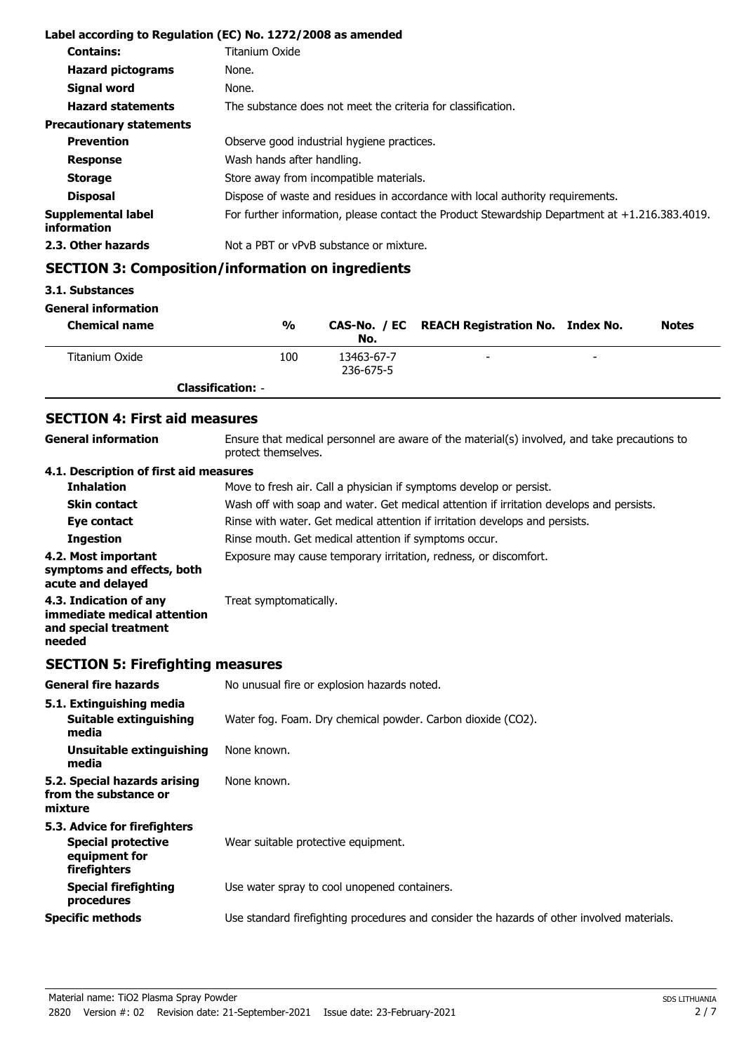|                                          | Label according to Regulation (EC) No. 1272/2008 as amended                                       |
|------------------------------------------|---------------------------------------------------------------------------------------------------|
| <b>Contains:</b>                         | Titanium Oxide                                                                                    |
| <b>Hazard pictograms</b>                 | None.                                                                                             |
| Signal word                              | None.                                                                                             |
| <b>Hazard statements</b>                 | The substance does not meet the criteria for classification.                                      |
| <b>Precautionary statements</b>          |                                                                                                   |
| <b>Prevention</b>                        | Observe good industrial hygiene practices.                                                        |
| <b>Response</b>                          | Wash hands after handling.                                                                        |
| <b>Storage</b>                           | Store away from incompatible materials.                                                           |
| <b>Disposal</b>                          | Dispose of waste and residues in accordance with local authority requirements.                    |
| <b>Supplemental label</b><br>information | For further information, please contact the Product Stewardship Department at $+1.216.383.4019$ . |
| 2.3. Other hazards                       | Not a PBT or vPvB substance or mixture.                                                           |

# **SECTION 3: Composition/information on ingredients**

### **3.1. Substances**

**General information**

| <b>Chemical name</b> | $\frac{0}{0}$            | No.                     | CAS-No. / EC REACH Registration No. Index No. |                          | <b>Notes</b> |
|----------------------|--------------------------|-------------------------|-----------------------------------------------|--------------------------|--------------|
| Titanium Oxide       | 100                      | 13463-67-7<br>236-675-5 | $\sim$                                        | $\overline{\phantom{a}}$ |              |
|                      | <b>Classification: -</b> |                         |                                               |                          |              |

# **SECTION 4: First aid measures**

| <b>General information</b>                                                               | Ensure that medical personnel are aware of the material(s) involved, and take precautions to<br>protect themselves. |
|------------------------------------------------------------------------------------------|---------------------------------------------------------------------------------------------------------------------|
| 4.1. Description of first aid measures                                                   |                                                                                                                     |
| <b>Inhalation</b>                                                                        | Move to fresh air. Call a physician if symptoms develop or persist.                                                 |
| <b>Skin contact</b>                                                                      | Wash off with soap and water. Get medical attention if irritation develops and persists.                            |
| Eye contact                                                                              | Rinse with water. Get medical attention if irritation develops and persists.                                        |
| <b>Ingestion</b>                                                                         | Rinse mouth. Get medical attention if symptoms occur.                                                               |
| 4.2. Most important<br>symptoms and effects, both<br>acute and delayed                   | Exposure may cause temporary irritation, redness, or discomfort.                                                    |
| 4.3. Indication of any<br>immediate medical attention<br>and special treatment<br>needed | Treat symptomatically.                                                                                              |

# **SECTION 5: Firefighting measures**

| <b>General fire hazards</b>                                                                | No unusual fire or explosion hazards noted.                                                |
|--------------------------------------------------------------------------------------------|--------------------------------------------------------------------------------------------|
| 5.1. Extinguishing media<br>Suitable extinguishing<br>media                                | Water fog. Foam. Dry chemical powder. Carbon dioxide (CO2).                                |
| Unsuitable extinguishing<br>media                                                          | None known.                                                                                |
| 5.2. Special hazards arising<br>from the substance or<br>mixture                           | None known.                                                                                |
| 5.3. Advice for firefighters<br><b>Special protective</b><br>equipment for<br>firefighters | Wear suitable protective equipment.                                                        |
| <b>Special firefighting</b><br>procedures                                                  | Use water spray to cool unopened containers.                                               |
| <b>Specific methods</b>                                                                    | Use standard firefighting procedures and consider the hazards of other involved materials. |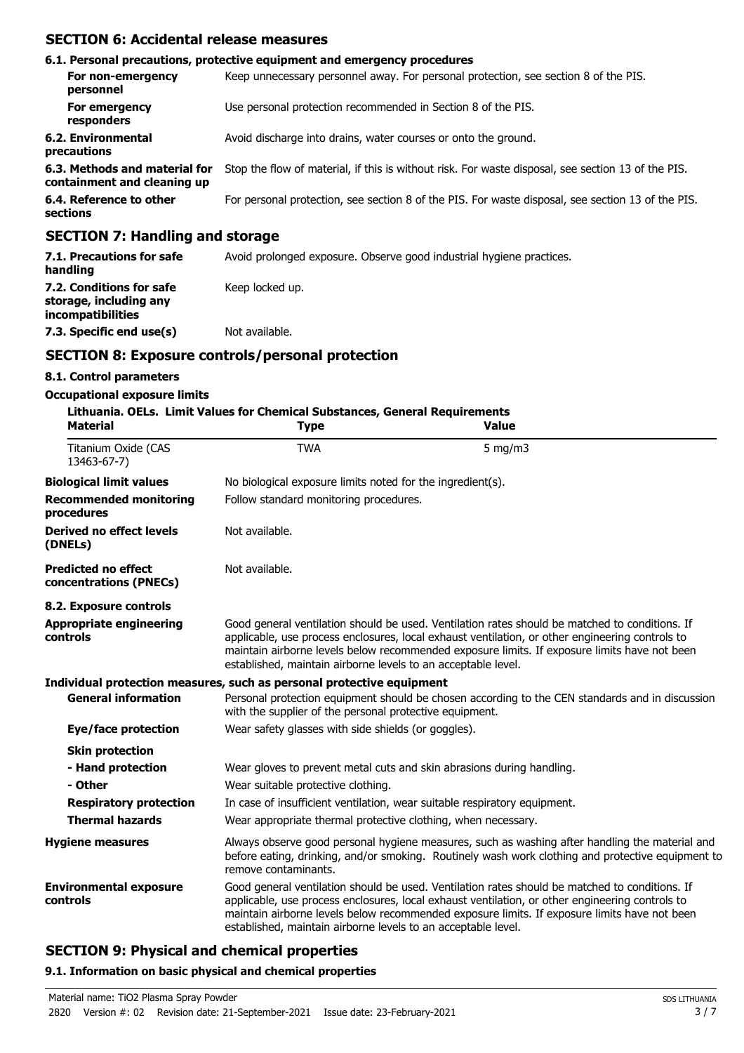## **SECTION 6: Accidental release measures**

|                                                              | 6.1. Personal precautions, protective equipment and emergency procedures                           |
|--------------------------------------------------------------|----------------------------------------------------------------------------------------------------|
| For non-emergency<br>personnel                               | Keep unnecessary personnel away. For personal protection, see section 8 of the PIS.                |
| For emergency<br>responders                                  | Use personal protection recommended in Section 8 of the PIS.                                       |
| 6.2. Environmental<br>precautions                            | Avoid discharge into drains, water courses or onto the ground.                                     |
| 6.3. Methods and material for<br>containment and cleaning up | Stop the flow of material, if this is without risk. For waste disposal, see section 13 of the PIS. |
| 6.4. Reference to other<br>sections                          | For personal protection, see section 8 of the PIS. For waste disposal, see section 13 of the PIS.  |
| <b>CECTION 7: Handling and storage</b>                       |                                                                                                    |

### **SECTION 7: Handling and storage**

| 7.1. Precautions for safe<br>handling                                   | Avoid prolonged exposure. Observe good industrial hygiene practices. |  |  |
|-------------------------------------------------------------------------|----------------------------------------------------------------------|--|--|
| 7.2. Conditions for safe<br>storage, including any<br>incompatibilities | Keep locked up.                                                      |  |  |
| 7.3. Specific end use(s)                                                | Not available.                                                       |  |  |

# **SECTION 8: Exposure controls/personal protection**

### **8.1. Control parameters**

### **Occupational exposure limits**

| <b>Material</b>                                      | Lithuania. OELs. Limit Values for Chemical Substances, General Requirements<br><b>Type</b>                                                                                                                                                                                                                                                                         | <b>Value</b>                                                                                    |  |
|------------------------------------------------------|--------------------------------------------------------------------------------------------------------------------------------------------------------------------------------------------------------------------------------------------------------------------------------------------------------------------------------------------------------------------|-------------------------------------------------------------------------------------------------|--|
| Titanium Oxide (CAS<br>13463-67-7)                   | <b>TWA</b>                                                                                                                                                                                                                                                                                                                                                         | $5 \text{ mg/m}$                                                                                |  |
| <b>Biological limit values</b>                       | No biological exposure limits noted for the ingredient(s).                                                                                                                                                                                                                                                                                                         |                                                                                                 |  |
| <b>Recommended monitoring</b><br>procedures          | Follow standard monitoring procedures.                                                                                                                                                                                                                                                                                                                             |                                                                                                 |  |
| Derived no effect levels<br>(DNELs)                  | Not available.                                                                                                                                                                                                                                                                                                                                                     |                                                                                                 |  |
| <b>Predicted no effect</b><br>concentrations (PNECs) | Not available.                                                                                                                                                                                                                                                                                                                                                     |                                                                                                 |  |
| 8.2. Exposure controls                               |                                                                                                                                                                                                                                                                                                                                                                    |                                                                                                 |  |
| <b>Appropriate engineering</b><br>controls           | Good general ventilation should be used. Ventilation rates should be matched to conditions. If<br>applicable, use process enclosures, local exhaust ventilation, or other engineering controls to<br>maintain airborne levels below recommended exposure limits. If exposure limits have not been<br>established, maintain airborne levels to an acceptable level. |                                                                                                 |  |
|                                                      | Individual protection measures, such as personal protective equipment                                                                                                                                                                                                                                                                                              |                                                                                                 |  |
| <b>General information</b>                           | with the supplier of the personal protective equipment.                                                                                                                                                                                                                                                                                                            | Personal protection equipment should be chosen according to the CEN standards and in discussion |  |
| Eye/face protection                                  | Wear safety glasses with side shields (or goggles).                                                                                                                                                                                                                                                                                                                |                                                                                                 |  |
| <b>Skin protection</b>                               |                                                                                                                                                                                                                                                                                                                                                                    |                                                                                                 |  |
| - Hand protection                                    |                                                                                                                                                                                                                                                                                                                                                                    | Wear gloves to prevent metal cuts and skin abrasions during handling.                           |  |
| - Other                                              | Wear suitable protective clothing.                                                                                                                                                                                                                                                                                                                                 |                                                                                                 |  |
| <b>Respiratory protection</b>                        |                                                                                                                                                                                                                                                                                                                                                                    | In case of insufficient ventilation, wear suitable respiratory equipment.                       |  |
| <b>Thermal hazards</b>                               | Wear appropriate thermal protective clothing, when necessary.                                                                                                                                                                                                                                                                                                      |                                                                                                 |  |
| <b>Hygiene measures</b>                              | Always observe good personal hygiene measures, such as washing after handling the material and<br>before eating, drinking, and/or smoking. Routinely wash work clothing and protective equipment to<br>remove contaminants.                                                                                                                                        |                                                                                                 |  |
| <b>Environmental exposure</b><br>controls            | Good general ventilation should be used. Ventilation rates should be matched to conditions. If<br>applicable, use process enclosures, local exhaust ventilation, or other engineering controls to<br>maintain airborne levels below recommended exposure limits. If exposure limits have not been<br>established, maintain airborne levels to an acceptable level. |                                                                                                 |  |

# **SECTION 9: Physical and chemical properties**

### **9.1. Information on basic physical and chemical properties**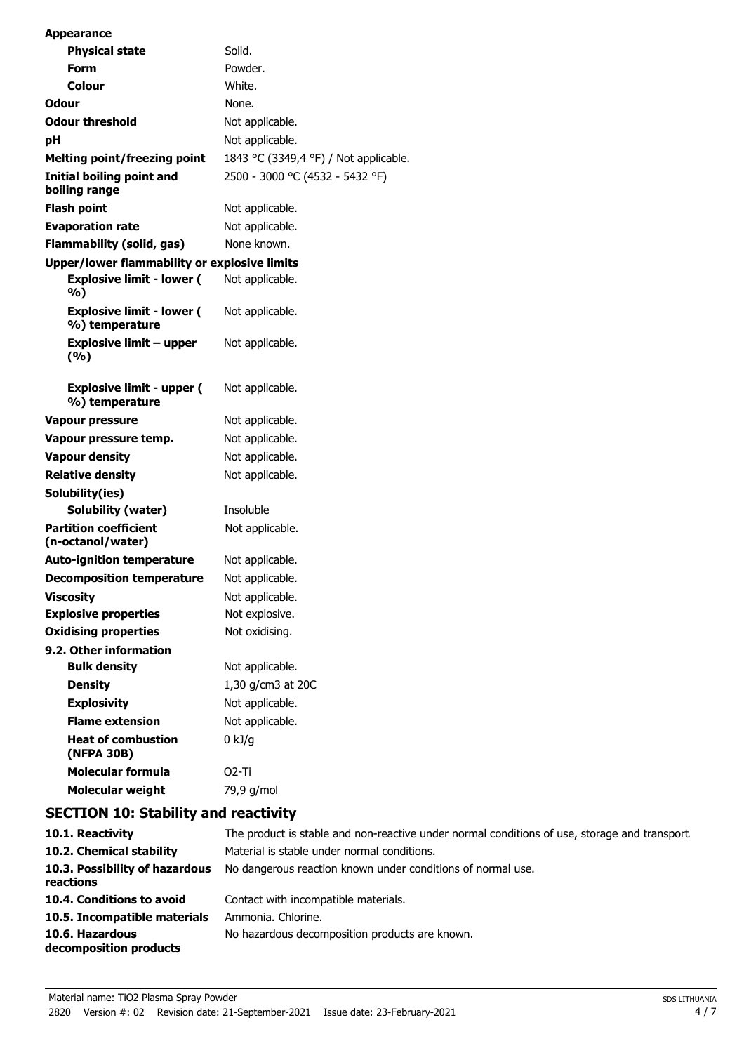| <b>Appearance</b>                                  |                                       |
|----------------------------------------------------|---------------------------------------|
| <b>Physical state</b>                              | Solid.                                |
| <b>Form</b>                                        | Powder.                               |
| Colour                                             | White.                                |
| Odour                                              | None.                                 |
| <b>Odour threshold</b>                             | Not applicable.                       |
| рH                                                 | Not applicable.                       |
| <b>Melting point/freezing point</b>                | 1843 °C (3349,4 °F) / Not applicable. |
| Initial boiling point and<br>boiling range         | 2500 - 3000 °C (4532 - 5432 °F)       |
| <b>Flash point</b>                                 | Not applicable.                       |
| <b>Evaporation rate</b>                            | Not applicable.                       |
| <b>Flammability (solid, gas)</b>                   | None known.                           |
| Upper/lower flammability or explosive limits       |                                       |
| <b>Explosive limit - lower (</b><br>%)             | Not applicable.                       |
| <b>Explosive limit - lower (</b><br>%) temperature | Not applicable.                       |
| <b>Explosive limit - upper</b><br>(%)              | Not applicable.                       |
| <b>Explosive limit - upper (</b><br>%) temperature | Not applicable.                       |
| <b>Vapour pressure</b>                             | Not applicable.                       |
| Vapour pressure temp.                              | Not applicable.                       |
| <b>Vapour density</b>                              | Not applicable.                       |
| <b>Relative density</b>                            | Not applicable.                       |
| Solubility(ies)                                    |                                       |
| <b>Solubility (water)</b>                          | Insoluble                             |
| <b>Partition coefficient</b><br>(n-octanol/water)  | Not applicable.                       |
| <b>Auto-ignition temperature</b>                   | Not applicable.                       |
| <b>Decomposition temperature</b>                   | Not applicable.                       |
| <b>Viscosity</b>                                   | Not applicable.                       |
| <b>Explosive properties</b>                        | Not explosive.                        |
| <b>Oxidising properties</b>                        | Not oxidising.                        |
| 9.2. Other information                             |                                       |
| <b>Bulk density</b>                                | Not applicable.                       |
| <b>Density</b>                                     | 1,30 g/cm3 at 20C                     |
| <b>Explosivity</b>                                 | Not applicable.                       |
| <b>Flame extension</b>                             | Not applicable.                       |
| <b>Heat of combustion</b><br>(NFPA 30B)            | $0$ kJ/g                              |
| Molecular formula                                  | 02-Ti                                 |
| <b>Molecular weight</b>                            | 79,9 g/mol                            |
| <b>SECTION 10: Stability and reactivity</b>        |                                       |

| 10.1. Reactivity<br>10.2. Chemical stability<br>10.3. Possibility of hazardous<br>reactions | The product is stable and non-reactive under normal conditions of use, storage and transport.<br>Material is stable under normal conditions.<br>No dangerous reaction known under conditions of normal use. |
|---------------------------------------------------------------------------------------------|-------------------------------------------------------------------------------------------------------------------------------------------------------------------------------------------------------------|
| 10.4. Conditions to avoid                                                                   | Contact with incompatible materials.                                                                                                                                                                        |
| 10.5. Incompatible materials                                                                | Ammonia. Chlorine.                                                                                                                                                                                          |
| 10.6. Hazardous<br>decomposition products                                                   | No hazardous decomposition products are known.                                                                                                                                                              |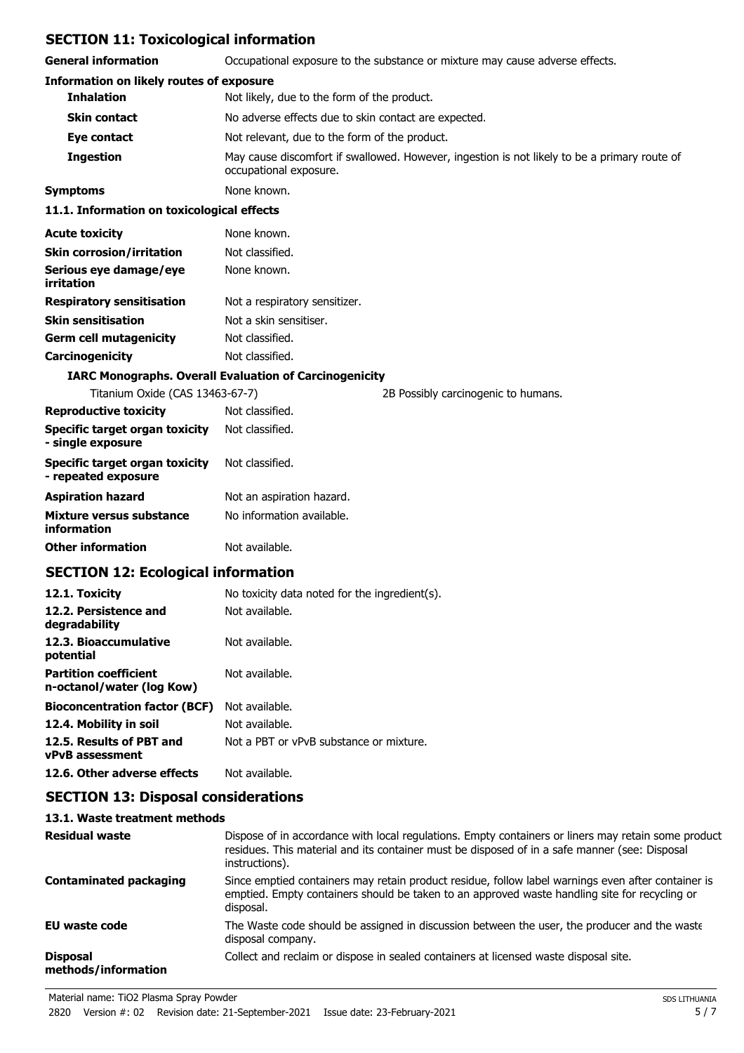# **SECTION 11: Toxicological information**

| <b>General information</b>                                   | Occupational exposure to the substance or mixture may cause adverse effects.                                           |
|--------------------------------------------------------------|------------------------------------------------------------------------------------------------------------------------|
| <b>Information on likely routes of exposure</b>              |                                                                                                                        |
| <b>Inhalation</b>                                            | Not likely, due to the form of the product.                                                                            |
| <b>Skin contact</b>                                          | No adverse effects due to skin contact are expected.                                                                   |
| Eye contact                                                  | Not relevant, due to the form of the product.                                                                          |
| <b>Ingestion</b>                                             | May cause discomfort if swallowed. However, ingestion is not likely to be a primary route of<br>occupational exposure. |
| <b>Symptoms</b>                                              | None known.                                                                                                            |
| 11.1. Information on toxicological effects                   |                                                                                                                        |
| <b>Acute toxicity</b>                                        | None known.                                                                                                            |
| <b>Skin corrosion/irritation</b>                             | Not classified.                                                                                                        |
| Serious eye damage/eye<br>irritation                         | None known.                                                                                                            |
| <b>Respiratory sensitisation</b>                             | Not a respiratory sensitizer.                                                                                          |
| <b>Skin sensitisation</b>                                    | Not a skin sensitiser.                                                                                                 |
| <b>Germ cell mutagenicity</b>                                | Not classified.                                                                                                        |
| Carcinogenicity                                              | Not classified.                                                                                                        |
|                                                              | <b>IARC Monographs. Overall Evaluation of Carcinogenicity</b>                                                          |
| Titanium Oxide (CAS 13463-67-7)                              | 2B Possibly carcinogenic to humans.                                                                                    |
| <b>Reproductive toxicity</b>                                 | Not classified.                                                                                                        |
| <b>Specific target organ toxicity</b><br>- single exposure   | Not classified.                                                                                                        |
| <b>Specific target organ toxicity</b><br>- repeated exposure | Not classified.                                                                                                        |
| <b>Aspiration hazard</b>                                     | Not an aspiration hazard.                                                                                              |
| Mixture versus substance<br>information                      | No information available.                                                                                              |
| <b>Other information</b>                                     | Not available.                                                                                                         |
| <b>SECTION 12: Ecological information</b>                    |                                                                                                                        |
| 12.1. Toxicity                                               | No toxicity data noted for the ingredient(s).                                                                          |
| 12.2. Persistence and<br>degradability                       | Not available.                                                                                                         |
| 12.3. Bioaccumulative<br>potential                           | Not available.                                                                                                         |
| <b>Partition coefficient</b><br>n-octanol/water (log Kow)    | Not available.                                                                                                         |
| <b>Bioconcentration factor (BCF)</b>                         | Not available.                                                                                                         |
| 12.4. Mobility in soil                                       | Not available.                                                                                                         |
| 12.5. Results of PBT and<br><b>vPvB assessment</b>           | Not a PBT or vPvB substance or mixture.                                                                                |
| 12.6. Other adverse effects                                  | Not available.                                                                                                         |
|                                                              |                                                                                                                        |

# **SECTION 13: Disposal considerations**

### **13.1. Waste treatment methods**

| <b>Residual waste</b>                  | Dispose of in accordance with local regulations. Empty containers or liners may retain some product<br>residues. This material and its container must be disposed of in a safe manner (see: Disposal<br>instructions). |
|----------------------------------------|------------------------------------------------------------------------------------------------------------------------------------------------------------------------------------------------------------------------|
| <b>Contaminated packaging</b>          | Since emptied containers may retain product residue, follow label warnings even after container is<br>emptied. Empty containers should be taken to an approved waste handling site for recycling or<br>disposal.       |
| <b>EU waste code</b>                   | The Waste code should be assigned in discussion between the user, the producer and the waste<br>disposal company.                                                                                                      |
| <b>Disposal</b><br>methods/information | Collect and reclaim or dispose in sealed containers at licensed waste disposal site.                                                                                                                                   |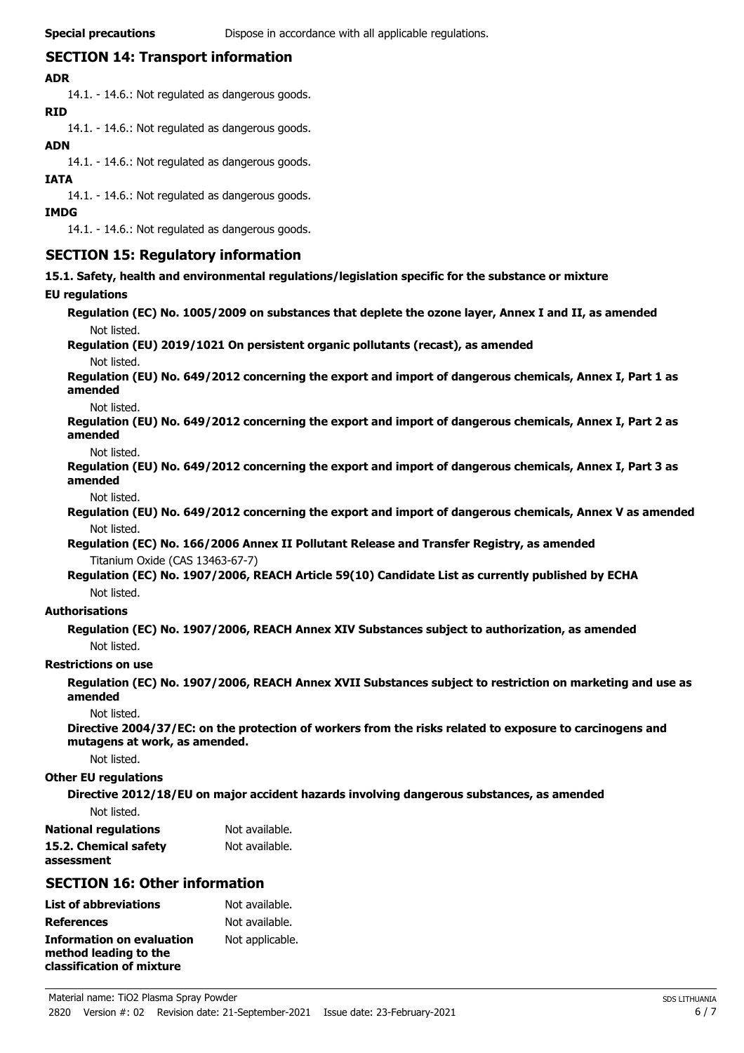# **SECTION 14: Transport information**

### **ADR**

14.1. - 14.6.: Not regulated as dangerous goods.

### **RID**

14.1. - 14.6.: Not regulated as dangerous goods.

### **ADN**

14.1. - 14.6.: Not regulated as dangerous goods.

### **IATA**

14.1. - 14.6.: Not regulated as dangerous goods.

### **IMDG**

14.1. - 14.6.: Not regulated as dangerous goods.

## **SECTION 15: Regulatory information**

**15.1. Safety, health and environmental regulations/legislation specific for the substance or mixture**

### **EU regulations**

**Regulation (EC) No. 1005/2009 on substances that deplete the ozone layer, Annex I and II, as amended** Not listed.

# **Regulation (EU) 2019/1021 On persistent organic pollutants (recast), as amended**

Not listed.

**Regulation (EU) No. 649/2012 concerning the export and import of dangerous chemicals, Annex I, Part 1 as amended**

Not listed.

**Regulation (EU) No. 649/2012 concerning the export and import of dangerous chemicals, Annex I, Part 2 as amended**

Not listed.

**Regulation (EU) No. 649/2012 concerning the export and import of dangerous chemicals, Annex I, Part 3 as amended**

Not listed.

**Regulation (EU) No. 649/2012 concerning the export and import of dangerous chemicals, Annex V as amended** Not listed.

**Regulation (EC) No. 166/2006 Annex II Pollutant Release and Transfer Registry, as amended** Titanium Oxide (CAS 13463-67-7)

**Regulation (EC) No. 1907/2006, REACH Article 59(10) Candidate List as currently published by ECHA** Not listed.

#### **Authorisations**

**Regulation (EC) No. 1907/2006, REACH Annex XIV Substances subject to authorization, as amended** Not listed.

### **Restrictions on use**

**Regulation (EC) No. 1907/2006, REACH Annex XVII Substances subject to restriction on marketing and use as amended**

Not listed.

**Directive 2004/37/EC: on the protection of workers from the risks related to exposure to carcinogens and mutagens at work, as amended.**

Not listed.

### **Other EU regulations**

**Directive 2012/18/EU on major accident hazards involving dangerous substances, as amended** Not listed.

| <b>National regulations</b> | Not available. |
|-----------------------------|----------------|
| 15.2. Chemical safety       | Not available. |
| assessment                  |                |

# **SECTION 16: Other information**

| <b>List of abbreviations</b>                                                           | Not available.  |
|----------------------------------------------------------------------------------------|-----------------|
| <b>References</b>                                                                      | Not available.  |
| <b>Information on evaluation</b><br>method leading to the<br>classification of mixture | Not applicable. |